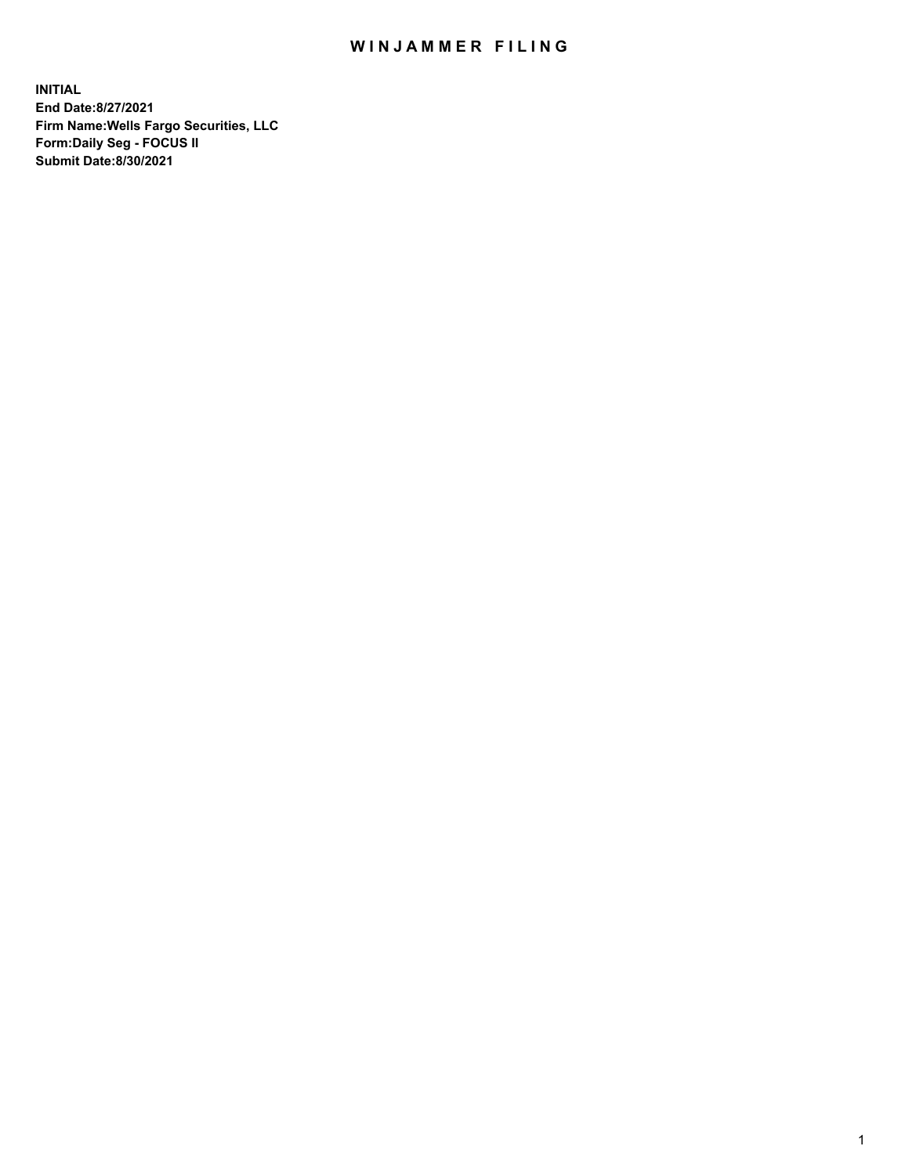## WIN JAMMER FILING

**INITIAL End Date:8/27/2021 Firm Name:Wells Fargo Securities, LLC Form:Daily Seg - FOCUS II Submit Date:8/30/2021**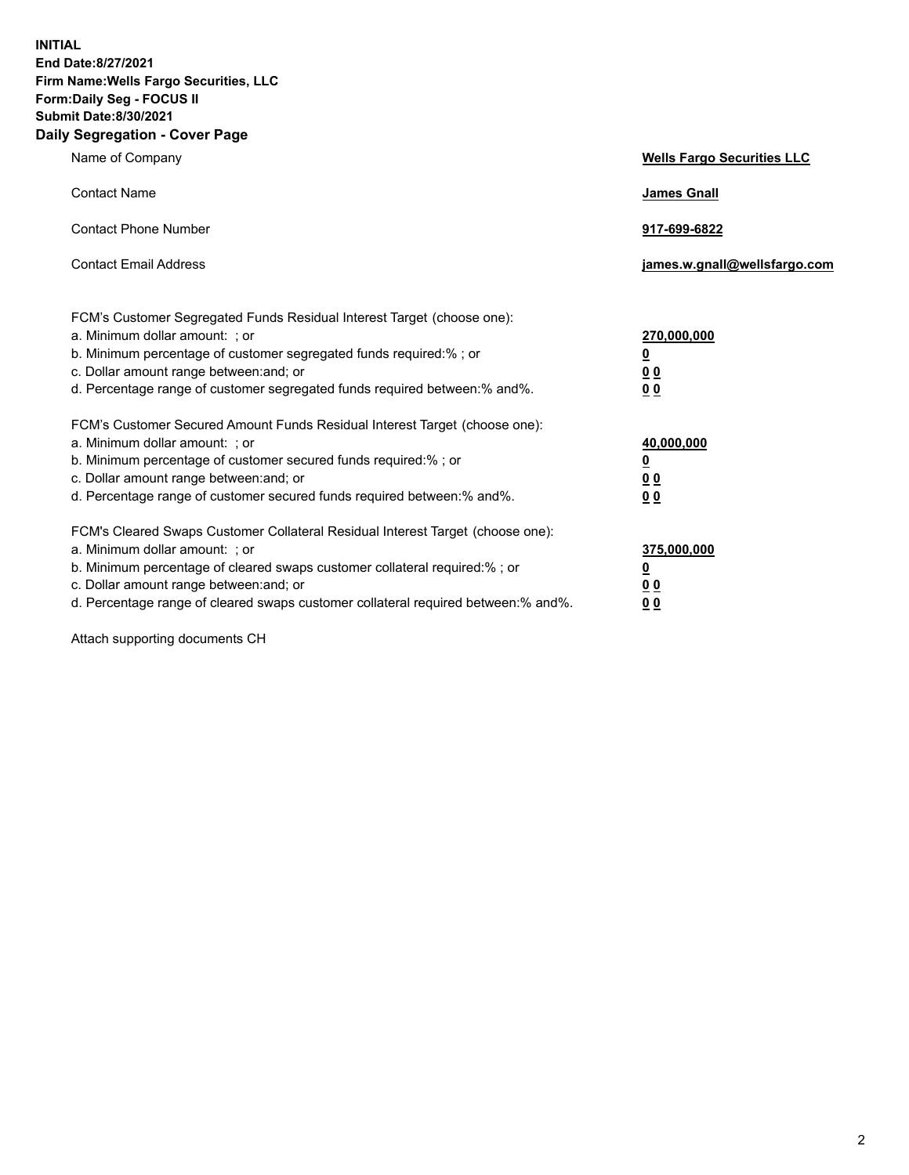**INITIAL End Date:8/27/2021 Firm Name:Wells Fargo Securities, LLC Form:Daily Seg - FOCUS II Submit Date:8/30/2021 Daily Segregation - Cover Page**

| Name of Company                                                                                                                                                                                                                                                                                                                | <b>Wells Fargo Securities LLC</b>                                           |
|--------------------------------------------------------------------------------------------------------------------------------------------------------------------------------------------------------------------------------------------------------------------------------------------------------------------------------|-----------------------------------------------------------------------------|
| <b>Contact Name</b>                                                                                                                                                                                                                                                                                                            | <b>James Gnall</b>                                                          |
| <b>Contact Phone Number</b>                                                                                                                                                                                                                                                                                                    | 917-699-6822                                                                |
| <b>Contact Email Address</b>                                                                                                                                                                                                                                                                                                   | james.w.gnall@wellsfargo.com                                                |
| FCM's Customer Segregated Funds Residual Interest Target (choose one):<br>a. Minimum dollar amount: ; or<br>b. Minimum percentage of customer segregated funds required:% ; or<br>c. Dollar amount range between: and; or<br>d. Percentage range of customer segregated funds required between:% and%.                         | 270,000,000<br>$\underline{\mathbf{0}}$<br>0 <sub>0</sub><br>0 <sub>0</sub> |
| FCM's Customer Secured Amount Funds Residual Interest Target (choose one):<br>a. Minimum dollar amount: ; or<br>b. Minimum percentage of customer secured funds required:%; or<br>c. Dollar amount range between: and; or<br>d. Percentage range of customer secured funds required between: % and %.                          | 40,000,000<br><u>0</u><br><u>00</u><br>0 <sub>0</sub>                       |
| FCM's Cleared Swaps Customer Collateral Residual Interest Target (choose one):<br>a. Minimum dollar amount: ; or<br>b. Minimum percentage of cleared swaps customer collateral required:% ; or<br>c. Dollar amount range between: and; or<br>d. Percentage range of cleared swaps customer collateral required between:% and%. | 375,000,000<br><u>0</u><br><u>00</u><br>00                                  |

Attach supporting documents CH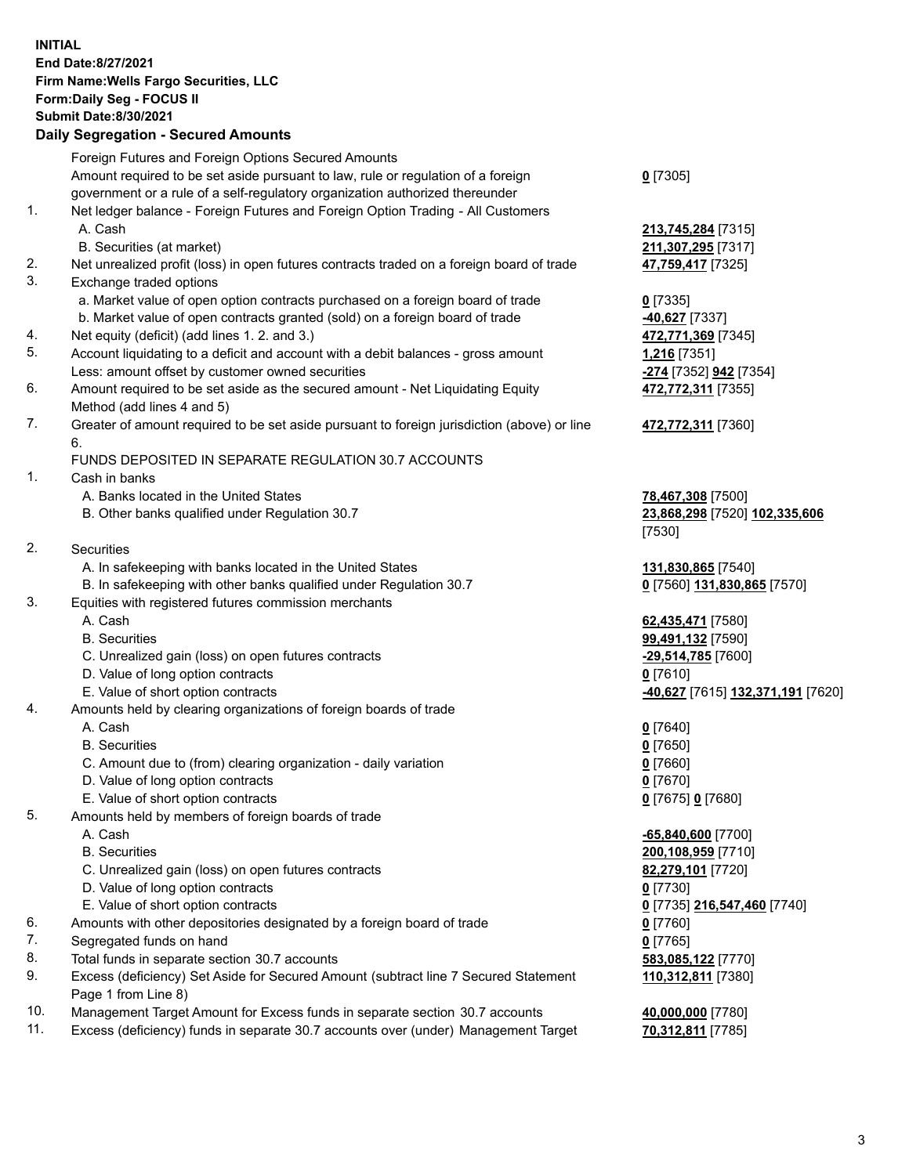**INITIAL End Date:8/27/2021 Firm Name:Wells Fargo Securities, LLC Form:Daily Seg - FOCUS II Submit Date:8/30/2021**

## **Daily Segregation - Secured Amounts**

|     | Foreign Futures and Foreign Options Secured Amounts                                         |                                            |
|-----|---------------------------------------------------------------------------------------------|--------------------------------------------|
|     | Amount required to be set aside pursuant to law, rule or regulation of a foreign            | $0$ [7305]                                 |
|     | government or a rule of a self-regulatory organization authorized thereunder                |                                            |
| 1.  | Net ledger balance - Foreign Futures and Foreign Option Trading - All Customers             |                                            |
|     | A. Cash                                                                                     | 213,745,284 [7315]                         |
|     | B. Securities (at market)                                                                   | 211,307,295 [7317]                         |
| 2.  | Net unrealized profit (loss) in open futures contracts traded on a foreign board of trade   | 47,759,417 [7325]                          |
| 3.  | Exchange traded options                                                                     |                                            |
|     | a. Market value of open option contracts purchased on a foreign board of trade              | $0$ [7335]                                 |
|     | b. Market value of open contracts granted (sold) on a foreign board of trade                | -40,627 [7337]                             |
| 4.  | Net equity (deficit) (add lines 1. 2. and 3.)                                               | 472,771,369 [7345]                         |
| 5.  | Account liquidating to a deficit and account with a debit balances - gross amount           | 1,216 [7351]                               |
|     | Less: amount offset by customer owned securities                                            | <mark>-274</mark> [7352] <b>942</b> [7354] |
| 6.  | Amount required to be set aside as the secured amount - Net Liquidating Equity              | 472,772,311 [7355]                         |
|     | Method (add lines 4 and 5)                                                                  |                                            |
| 7.  | Greater of amount required to be set aside pursuant to foreign jurisdiction (above) or line | 472,772,311 [7360]                         |
|     | 6.                                                                                          |                                            |
|     | FUNDS DEPOSITED IN SEPARATE REGULATION 30.7 ACCOUNTS                                        |                                            |
| 1.  | Cash in banks                                                                               |                                            |
|     | A. Banks located in the United States                                                       | 78,467,308 [7500]                          |
|     | B. Other banks qualified under Regulation 30.7                                              | 23,868,298 [7520] 102,335,606              |
|     |                                                                                             | [7530]                                     |
| 2.  | Securities                                                                                  |                                            |
|     | A. In safekeeping with banks located in the United States                                   | 131,830,865 [7540]                         |
|     | B. In safekeeping with other banks qualified under Regulation 30.7                          | 0 [7560] 131,830,865 [7570]                |
| 3.  | Equities with registered futures commission merchants                                       |                                            |
|     | A. Cash                                                                                     | 62,435,471 [7580]                          |
|     | <b>B.</b> Securities                                                                        | 99,491,132 [7590]                          |
|     | C. Unrealized gain (loss) on open futures contracts                                         | -29,514,785 [7600]                         |
|     | D. Value of long option contracts                                                           | $0$ [7610]                                 |
|     | E. Value of short option contracts                                                          | -40,627 [7615] 132,371,191 [7620]          |
| 4.  | Amounts held by clearing organizations of foreign boards of trade                           |                                            |
|     | A. Cash                                                                                     | $0$ [7640]                                 |
|     | <b>B.</b> Securities                                                                        | $0$ [7650]                                 |
|     | C. Amount due to (from) clearing organization - daily variation                             | $0$ [7660]                                 |
|     | D. Value of long option contracts                                                           | $0$ [7670]                                 |
|     | E. Value of short option contracts                                                          | 0 [7675] 0 [7680]                          |
| 5.  | Amounts held by members of foreign boards of trade                                          |                                            |
|     | A. Cash                                                                                     | -65,840,600 [7700]                         |
|     | <b>B.</b> Securities                                                                        | 200,108,959 [7710]                         |
|     | C. Unrealized gain (loss) on open futures contracts                                         | 82,279,101 [7720]                          |
|     | D. Value of long option contracts                                                           | $0$ [7730]                                 |
|     | E. Value of short option contracts                                                          | 0 [7735] 216,547,460 [7740]                |
| 6.  | Amounts with other depositories designated by a foreign board of trade                      | $0$ [7760]                                 |
| 7.  | Segregated funds on hand                                                                    | $0$ [7765]                                 |
| 8.  | Total funds in separate section 30.7 accounts                                               | 583,085,122 [7770]                         |
| 9.  | Excess (deficiency) Set Aside for Secured Amount (subtract line 7 Secured Statement         | 110,312,811 [7380]                         |
|     | Page 1 from Line 8)                                                                         |                                            |
| 10. | Management Target Amount for Excess funds in separate section 30.7 accounts                 | 40,000,000 [7780]                          |

11. Excess (deficiency) funds in separate 30.7 accounts over (under) Management Target **70,312,811** [7785]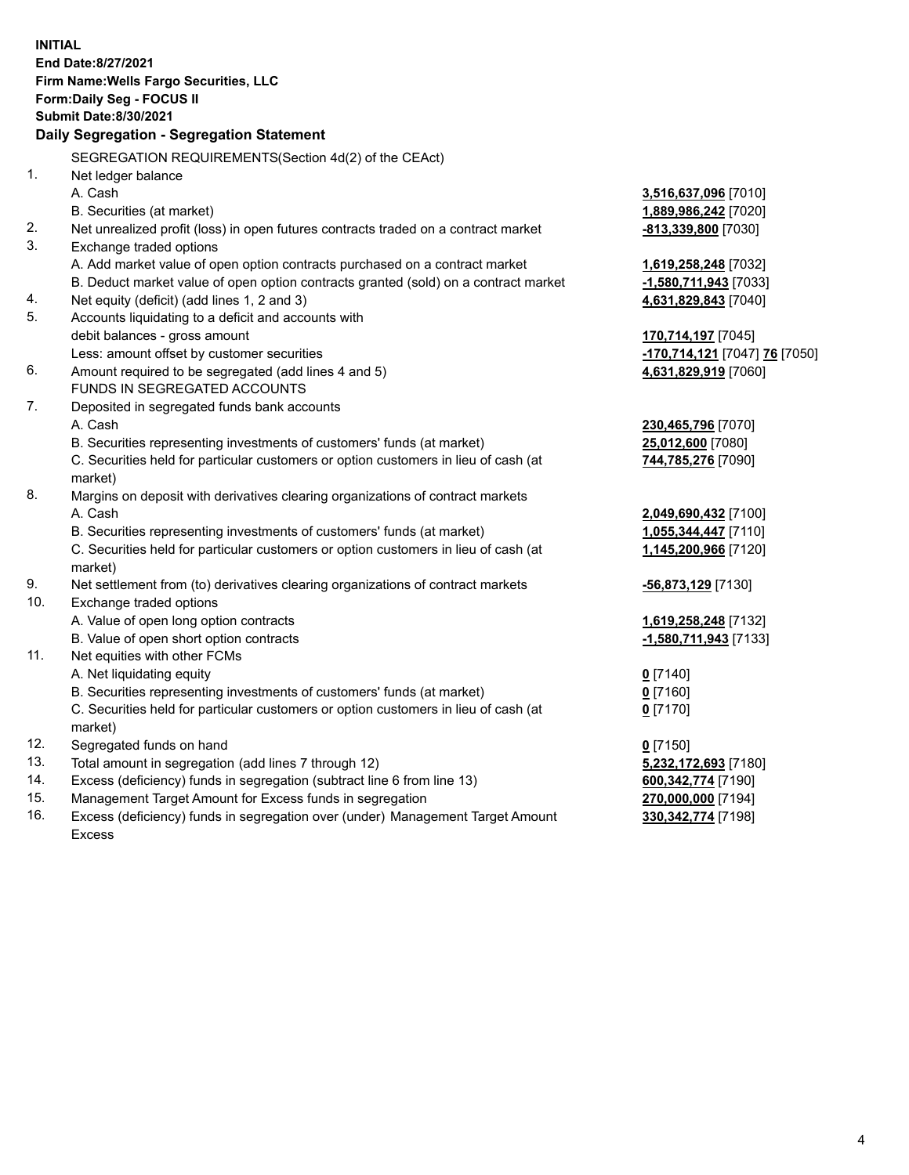**INITIAL End Date:8/27/2021 Firm Name:Wells Fargo Securities, LLC Form:Daily Seg - FOCUS II Submit Date:8/30/2021 Daily Segregation - Segregation Statement** SEGREGATION REQUIREMENTS(Section 4d(2) of the CEAct) 1. Net ledger balance A. Cash **3,516,637,096** [7010] B. Securities (at market) **1,889,986,242** [7020] 2. Net unrealized profit (loss) in open futures contracts traded on a contract market **-813,339,800** [7030] 3. Exchange traded options A. Add market value of open option contracts purchased on a contract market **1,619,258,248** [7032] B. Deduct market value of open option contracts granted (sold) on a contract market **-1,580,711,943** [7033] 4. Net equity (deficit) (add lines 1, 2 and 3) **4,631,829,843** [7040] 5. Accounts liquidating to a deficit and accounts with debit balances - gross amount **170,714,197** [7045] Less: amount offset by customer securities **-170,714,121** [7047] **76** [7050] 6. Amount required to be segregated (add lines 4 and 5) **4,631,829,919** [7060] FUNDS IN SEGREGATED ACCOUNTS 7. Deposited in segregated funds bank accounts A. Cash **230,465,796** [7070] B. Securities representing investments of customers' funds (at market) **25,012,600** [7080] C. Securities held for particular customers or option customers in lieu of cash (at market) **744,785,276** [7090] 8. Margins on deposit with derivatives clearing organizations of contract markets A. Cash **2,049,690,432** [7100] B. Securities representing investments of customers' funds (at market) **1,055,344,447** [7110] C. Securities held for particular customers or option customers in lieu of cash (at market) **1,145,200,966** [7120] 9. Net settlement from (to) derivatives clearing organizations of contract markets **-56,873,129** [7130] 10. Exchange traded options A. Value of open long option contracts **1,619,258,248** [7132] B. Value of open short option contracts **-1,580,711,943** [7133] 11. Net equities with other FCMs A. Net liquidating equity **0** [7140] B. Securities representing investments of customers' funds (at market) **0** [7160] C. Securities held for particular customers or option customers in lieu of cash (at market) **0** [7170] 12. Segregated funds on hand **0** [7150] 13. Total amount in segregation (add lines 7 through 12) **5,232,172,693** [7180] 14. Excess (deficiency) funds in segregation (subtract line 6 from line 13) **600,342,774** [7190] 15. Management Target Amount for Excess funds in segregation **270,000,000** [7194] 16. Excess (deficiency) funds in segregation over (under) Management Target Amount **330,342,774** [7198]

Excess